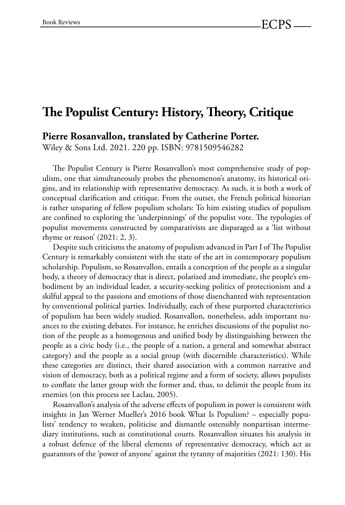## **!e Populist Century: History, !eory, Critique**

**Pierre Rosanvallon, translated by Catherine Porter.**

Wiley & Sons Ltd. 2021. 220 pp. ISBN: 9781509546282

The Populist Century is Pierre Rosanvallon's most comprehensive study of populism, one that simultaneously probes the phenomenon's anatomy, its historical origins, and its relationship with representative democracy. As such, it is both a work of conceptual clarification and critique. From the outset, the French political historian is rather unsparing of fellow populism scholars: To him existing studies of populism are confined to exploring the 'underpinnings' of the populist vote. The typologies of populist movements constructed by comparativists are disparaged as a 'list without rhyme or reason' (2021: 2, 3).

Despite such criticisms the anatomy of populism advanced in Part I of The Populist Century is remarkably consistent with the state of the art in contemporary populism scholarship. Populism, so Rosanvallon, entails a conception of the people as a singular body, a theory of democracy that is direct, polarized and immediate, the people's embodiment by an individual leader, a security-seeking politics of protectionism and a skilful appeal to the passions and emotions of those disenchanted with representation by conventional political parties. Individually, each of these purported characteristics of populism has been widely studied. Rosanvallon, nonetheless, adds important nuances to the existing debates. For instance, he enriches discussions of the populist notion of the people as a homogenous and unified body by distinguishing between the people as a civic body (i.e., the people of a nation, a general and somewhat abstract category) and the people as a social group (with discernible characteristics). While these categories are distinct, their shared association with a common narrative and vision of democracy, both as a political regime and a form of society, allows populists to conflate the latter group with the former and, thus, to delimit the people from its enemies (on this process see Laclau, 2005).

Rosanvallon's analysis of the adverse effects of populism in power is consistent with insights in Jan Werner Mueller's 2016 book What Is Populism? – especially populists' tendency to weaken, politicise and dismantle ostensibly nonpartisan intermediary institutions, such as constitutional courts. Rosanvallon situates his analysis in a robust defence of the liberal elements of representative democracy, which act as guarantors of the 'power of anyone' against the tyranny of majorities (2021: 130). His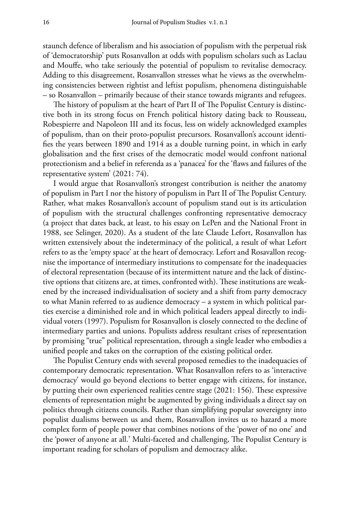staunch defence of liberalism and his association of populism with the perpetual risk of 'democratorship' puts Rosanvallon at odds with populism scholars such as Laclau and Mouffe, who take seriously the potential of populism to revitalise democracy. Adding to this disagreement, Rosanvallon stresses what he views as the overwhelming consistencies between rightist and leftist populism, phenomena distinguishable – so Rosanvallon – primarily because of their stance towards migrants and refugees.

The history of populism at the heart of Part II of The Populist Century is distinctive both in its strong focus on French political history dating back to Rousseau, Robespierre and Napoleon III and its focus, less on widely acknowledged examples of populism, than on their proto-populist precursors. Rosanvallon's account identifies the years between 1890 and 1914 as a double turning point, in which in early globalisation and the first crises of the democratic model would confront national protectionism and a belief in referenda as a 'panacea' for the 'flaws and failures of the representative system' (2021: 74).

I would argue that Rosanvallon's strongest contribution is neither the anatomy of populism in Part I nor the history of populism in Part II of The Populist Century. Rather, what makes Rosanvallon's account of populism stand out is its articulation of populism with the structural challenges confronting representative democracy (a project that dates back, at least, to his essay on LePen and the National Front in 1988, see Selinger, 2020). As a student of the late Claude Lefort, Rosanvallon has written extensively about the indeterminacy of the political, a result of what Lefort refers to as the 'empty space' at the heart of democracy. Lefort and Rosavallon recognise the importance of intermediary institutions to compensate for the inadequacies of electoral representation (because of its intermittent nature and the lack of distinctive options that citizens are, at times, confronted with). These institutions are weakened by the increased individualisation of society and a shift from party democracy to what Manin referred to as audience democracy – a system in which political parties exercise a diminished role and in which political leaders appeal directly to individual voters (1997). Populism for Rosanvallon is closely connected to the decline of intermediary parties and unions. Populists address resultant crises of representation by promising "true" political representation, through a single leader who embodies a unified people and takes on the corruption of the existing political order.

The Populist Century ends with several proposed remedies to the inadequacies of contemporary democratic representation. What Rosanvallon refers to as 'interactive democracy' would go beyond elections to better engage with citizens, for instance, by putting their own experienced realities centre stage  $(2021: 156)$ . These expressive elements of representation might be augmented by giving individuals a direct say on politics through citizens councils. Rather than simplifying popular sovereignty into populist dualisms between us and them, Rosanvallon invites us to hazard a more complex form of people power that combines notions of the 'power of no one' and the 'power of anyone at all.' Multi-faceted and challenging, The Populist Century is important reading for scholars of populism and democracy alike.